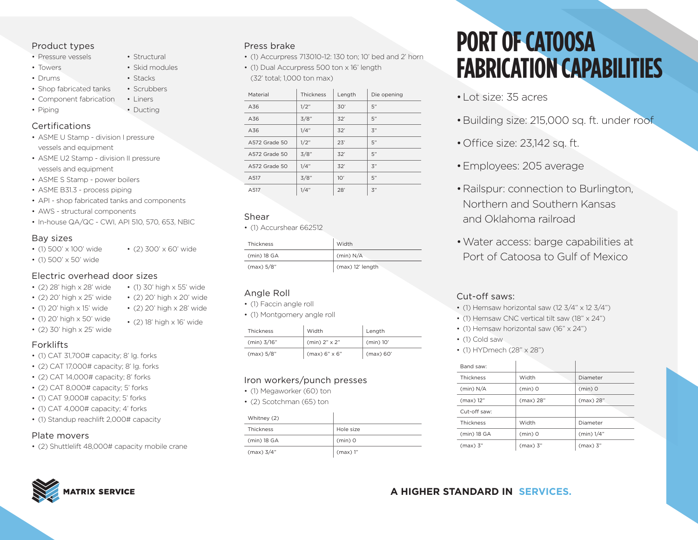# Product types

- Pressure vessels
- Towers
- Drums
- Shop fabricated tanks
- Component fabrication Liners
- Piping

## Certifications

- ASME U Stamp division I pressure vessels and equipment
- ASME U2 Stamp division II pressure vessels and equipment
- ASME S Stamp power boilers
- ASME B31.3 process piping
- API shop fabricated tanks and components
- AWS structural components
- In-house QA/QC CWI, API 510, 570, 653, NBIC

## Bay sizes

- (1) 500' x 100' wide
- (1) 500' x 50' wide

## Electric overhead door sizes

- (2) 28' high x 28' wide • (1) 30' high x 55' wide
- (2) 20' high x 25' wide
- (1) 20' high x 15' wide • (2) 20' high x 20' wide • (2) 20' high x 28' wide
- (1) 20' high x 50' wide • (2) 30' high x 25' wide
- (2) 18' high x 16' wide

• (2) 300' x 60' wide

• Structural • Skid modules • Stacks • Scrubbers

• Ducting

- Forklifts
- (1) CAT 31,700# capacity; 8' lg. forks
- (2) CAT 17,000# capacity; 8' lg. forks
- $\bullet$  (2) CAT 14,000# capacity; 8' forks
- (2) CAT 8,000# capacity; 5' forks
- (1) CAT 9,000# capacity; 5' forks
- (1) CAT 4,000# capacity; 4' forks
- (1) Standup reachlift 2,000# capacity

# Plate movers

• (2) Shuttlelift 48,000# capacity mobile crane



#### Press brake

- (1) Accurpress 713010-12: 130 ton; 10' bed and 2' horn
- (1) Dual Accurpress 500 ton x 16' length (32' total; 1,000 ton max)

| Material      | Thickness | Length | Die opening      |
|---------------|-----------|--------|------------------|
| A36           | 1/2"      | 30'    | 5"               |
| A36           | 3/8"      | 32'    | 5"               |
| A36           | 1/4"      | 32'    | $\mathfrak{Z}''$ |
| A572 Grade 50 | 1/2"      | 23'    | 5"               |
| A572 Grade 50 | 3/8"      | 32'    | 5"               |
| A572 Grade 50 | 1/4"      | 32'    | $\mathfrak{Z}''$ |
| A517          | 3/8"      | 10'    | 5"               |
| A517          | 1/4"      | 28'    | $\mathbf{3}$ "   |
|               |           |        |                  |

## Shear

• (1) Accurshear 662512

| Thickness   | Width            |
|-------------|------------------|
| (min) 18 GA | (min) N/A        |
| (max) 5/8"  | (max) 12' length |

# Angle Roll

- (1) Faccin angle roll
- (1) Montgomery angle roll

| Thickness   | Width                  | Length      |
|-------------|------------------------|-------------|
| (min) 3/16" | $(min)$ 2" $\times$ 2" | $(min)$ 10' |
| (max) 5/8"  | (max) 6" x 6"          | (max) 60'   |

# Iron workers/punch presses

- (1) Megaworker (60) ton
- (2) Scotchman (65) ton

| Whitney (2)  |           |
|--------------|-----------|
| Thickness    | Hole size |
| (min) 18 GA  | $(min)$ O |
| $(max)$ 3/4" | (max) 1"  |

# **PORT OF CATOOSA FABRICATION CAPABILITIES**

- •Lot size: 35 acres
- •Building size: 215,000 sq. ft. under roof
- •Office size: 23,142 sq. ft.
- •Employees: 205 average
- •Railspur: connection to Burlington, Northern and Southern Kansas and Oklahoma railroad
- •Water access: barge capabilities at Port of Catoosa to Gulf of Mexico

# Cut-off saws:

- (1) Hemsaw horizontal saw (12 3/4" x 12 3/4")
- (1) Hemsaw CNC vertical tilt saw (18" x 24")
- (1) Hemsaw horizontal saw (16" x 24")
- (1) Cold saw
- (1) HYDmech (28" x 28")

| Band saw:    |            |            |  |
|--------------|------------|------------|--|
| Thickness    | Width      | Diameter   |  |
| (min) N/A    | $(min)$ 0  | $(min)$ O  |  |
| (max) 12"    | (max) 28"  | (max) 28"  |  |
| Cut-off saw: |            |            |  |
| Thickness    | Width      | Diameter   |  |
| (min) 18 GA  | $(min)$ 0  | (min) 1/4" |  |
| $(max)$ 3"   | $(max)$ 3" | $(max)$ 3" |  |

# **A HIGHER STANDARD IN SERVICES.**